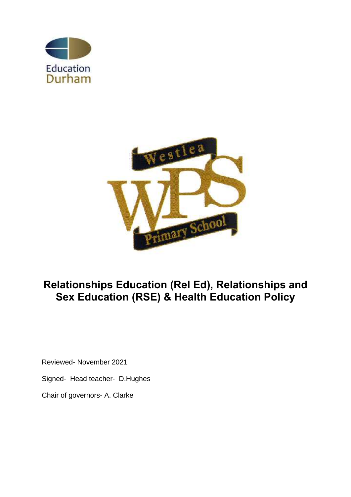



# **Relationships Education (Rel Ed), Relationships and Sex Education (RSE) & Health Education Policy**

Reviewed- November 2021

Signed- Head teacher- D.Hughes

Chair of governors- A. Clarke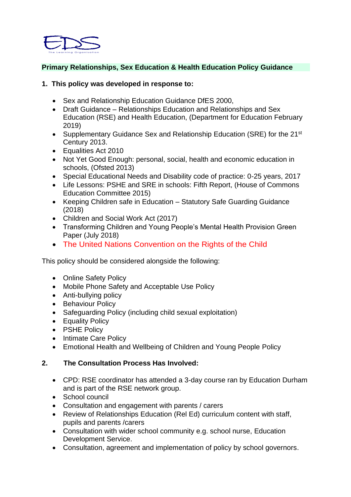

# **Primary Relationships, Sex Education & Health Education Policy Guidance**

#### **1. This policy was developed in response to:**

- Sex and Relationship Education Guidance DfES 2000.
- Draft Guidance Relationships Education and Relationships and Sex Education (RSE) and Health Education, (Department for Education February 2019)
- Supplementary Guidance Sex and Relationship Education (SRE) for the 21<sup>st</sup> Century 2013.
- Equalities Act 2010
- Not Yet Good Enough: personal, social, health and economic education in schools, (Ofsted 2013)
- Special Educational Needs and Disability code of practice: 0-25 years, 2017
- Life Lessons: PSHE and SRE in schools: Fifth Report, (House of Commons Education Committee 2015)
- Keeping Children safe in Education Statutory Safe Guarding Guidance (2018)
- Children and Social Work Act (2017)
- Transforming Children and Young People's Mental Health Provision Green Paper (July 2018)
- The United Nations Convention on the Rights of the Child

This policy should be considered alongside the following:

- Online Safety Policy
- Mobile Phone Safety and Acceptable Use Policy
- Anti-bullying policy
- Behaviour Policy
- Safeguarding Policy (including child sexual exploitation)
- Equality Policy
- PSHE Policy
- Intimate Care Policy
- Emotional Health and Wellbeing of Children and Young People Policy

#### **2. The Consultation Process Has Involved:**

- CPD: RSE coordinator has attended a 3-day course ran by Education Durham and is part of the RSE network group.
- School council
- Consultation and engagement with parents / carers
- Review of Relationships Education (Rel Ed) curriculum content with staff, pupils and parents /carers
- Consultation with wider school community e.g. school nurse, Education Development Service.
- Consultation, agreement and implementation of policy by school governors.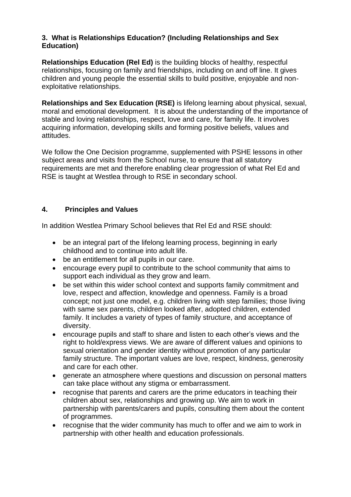# **3. What is Relationships Education? (Including Relationships and Sex Education)**

**Relationships Education (Rel Ed)** is the building blocks of healthy, respectful relationships, focusing on family and friendships, including on and off line. It gives children and young people the essential skills to build positive, enjoyable and nonexploitative relationships.

**Relationships and Sex Education (RSE)** is lifelong learning about physical, sexual, moral and emotional development. It is about the understanding of the importance of stable and loving relationships, respect, love and care, for family life. It involves acquiring information, developing skills and forming positive beliefs, values and attitudes.

We follow the One Decision programme, supplemented with PSHE lessons in other subject areas and visits from the School nurse, to ensure that all statutory requirements are met and therefore enabling clear progression of what Rel Ed and RSE is taught at Westlea through to RSE in secondary school.

# **4. Principles and Values**

In addition Westlea Primary School believes that Rel Ed and RSE should:

- be an integral part of the lifelong learning process, beginning in early childhood and to continue into adult life.
- be an entitlement for all pupils in our care.
- encourage every pupil to contribute to the school community that aims to support each individual as they grow and learn.
- be set within this wider school context and supports family commitment and love, respect and affection, knowledge and openness. Family is a broad concept; not just one model, e.g. children living with step families; those living with same sex parents, children looked after, adopted children, extended family. It includes a variety of types of family structure, and acceptance of diversity.
- encourage pupils and staff to share and listen to each other's views and the right to hold/express views. We are aware of different values and opinions to sexual orientation and gender identity without promotion of any particular family structure. The important values are love, respect, kindness, generosity and care for each other.
- generate an atmosphere where questions and discussion on personal matters can take place without any stigma or embarrassment.
- recognise that parents and carers are the prime educators in teaching their children about sex, relationships and growing up. We aim to work in partnership with parents/carers and pupils, consulting them about the content of programmes.
- recognise that the wider community has much to offer and we aim to work in partnership with other health and education professionals.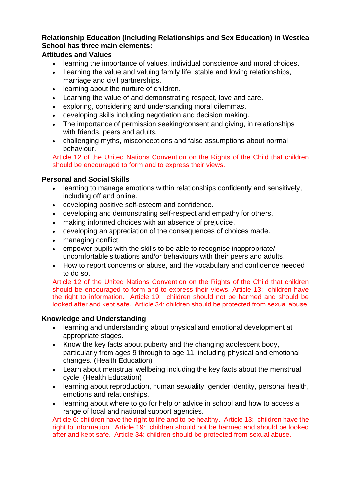# **Relationship Education (Including Relationships and Sex Education) in Westlea School has three main elements:**

# **Attitudes and Values**

- learning the importance of values, individual conscience and moral choices.
- Learning the value and valuing family life, stable and loving relationships, marriage and civil partnerships.
- learning about the nurture of children.
- Learning the value of and demonstrating respect, love and care.
- exploring, considering and understanding moral dilemmas.
- developing skills including negotiation and decision making.
- The importance of permission seeking/consent and giving, in relationships with friends, peers and adults.
- challenging myths, misconceptions and false assumptions about normal behaviour.

Article 12 of the United Nations Convention on the Rights of the Child that children should be encouraged to form and to express their views.

# **Personal and Social Skills**

- learning to manage emotions within relationships confidently and sensitively, including off and online.
- developing positive self-esteem and confidence.
- developing and demonstrating self-respect and empathy for others.
- making informed choices with an absence of prejudice.
- developing an appreciation of the consequences of choices made.
- managing conflict.
- empower pupils with the skills to be able to recognise inappropriate/ uncomfortable situations and/or behaviours with their peers and adults.
- How to report concerns or abuse, and the vocabulary and confidence needed to do so.

Article 12 of the United Nations Convention on the Rights of the Child that children should be encouraged to form and to express their views. Article 13: children have the right to information. Article 19: children should not be harmed and should be looked after and kept safe. Article 34: children should be protected from sexual abuse.

#### **Knowledge and Understanding**

- learning and understanding about physical and emotional development at appropriate stages.
- Know the key facts about puberty and the changing adolescent body, particularly from ages 9 through to age 11, including physical and emotional changes. (Health Education)
- Learn about menstrual wellbeing including the key facts about the menstrual cycle. (Health Education)
- learning about reproduction, human sexuality, gender identity, personal health, emotions and relationships.
- learning about where to go for help or advice in school and how to access a range of local and national support agencies.

Article 6: children have the right to life and to be healthy. Article 13: children have the right to information. Article 19: children should not be harmed and should be looked after and kept safe. Article 34: children should be protected from sexual abuse.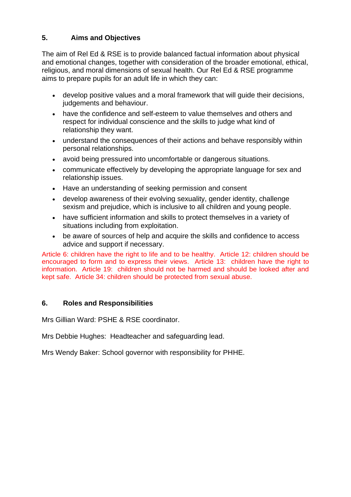# **5. Aims and Objectives**

The aim of Rel Ed & RSE is to provide balanced factual information about physical and emotional changes, together with consideration of the broader emotional, ethical, religious, and moral dimensions of sexual health. Our Rel Ed & RSE programme aims to prepare pupils for an adult life in which they can:

- develop positive values and a moral framework that will guide their decisions, judgements and behaviour.
- have the confidence and self-esteem to value themselves and others and respect for individual conscience and the skills to judge what kind of relationship they want.
- understand the consequences of their actions and behave responsibly within personal relationships.
- avoid being pressured into uncomfortable or dangerous situations.
- communicate effectively by developing the appropriate language for sex and relationship issues.
- Have an understanding of seeking permission and consent
- develop awareness of their evolving sexuality, gender identity, challenge sexism and prejudice, which is inclusive to all children and young people.
- have sufficient information and skills to protect themselves in a variety of situations including from exploitation.
- be aware of sources of help and acquire the skills and confidence to access advice and support if necessary.

Article 6: children have the right to life and to be healthy. Article 12: children should be encouraged to form and to express their views. Article 13: children have the right to information. Article 19: children should not be harmed and should be looked after and kept safe. Article 34: children should be protected from sexual abuse.

# **6. Roles and Responsibilities**

Mrs Gillian Ward: PSHE & RSE coordinator.

Mrs Debbie Hughes: Headteacher and safeguarding lead.

Mrs Wendy Baker: School governor with responsibility for PHHE.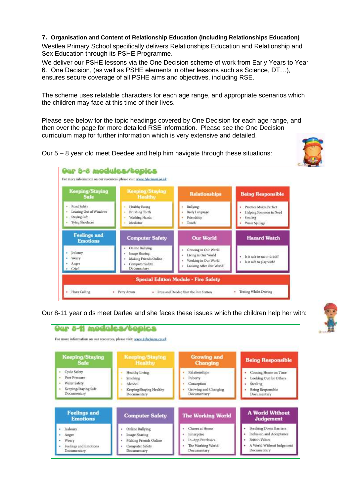#### **7. Organisation and Content of Relationship Education (Including Relationships Education)**

Westlea Primary School specifically delivers Relationships Education and Relationship and Sex Education through its PSHE Programme.

We deliver our PSHE lessons via the One Decision scheme of work from Early Years to Year 6. One Decision, (as well as PSHE elements in other lessons such as Science, DT…), ensures secure coverage of all PSHE aims and objectives, including RSE.

The scheme uses relatable characters for each age range, and appropriate scenarios which the children may face at this time of their lives.

Please see below for the topic headings covered by One Decision for each age range, and then over the page for more detailed RSE information. Please see the One Decision curriculum map for further information which is very extensive and detailed.

Our 5 – 8 year old meet Deedee and help him navigate through these situations:





Our 8-11 year olds meet Darlee and she faces these issues which the children help her with:

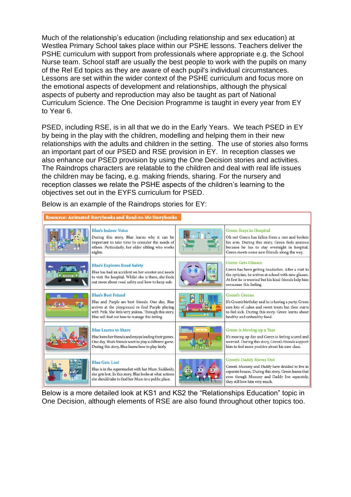Much of the relationship's education (including relationship and sex education) at Westlea Primary School takes place within our PSHE lessons. Teachers deliver the PSHE curriculum with support from professionals where appropriate e.g. the School Nurse team. School staff are usually the best people to work with the pupils on many of the Rel Ed topics as they are aware of each pupil's individual circumstances. Lessons are set within the wider context of the PSHE curriculum and focus more on the emotional aspects of development and relationships, although the physical aspects of puberty and reproduction may also be taught as part of National Curriculum Science. The One Decision Programme is taught in every year from EY to Year 6.

PSED, including RSE, is in all that we do in the Early Years. We teach PSED in EY by being in the play with the children, modelling and helping them in their new relationships with the adults and children in the setting. The use of stories also forms an important part of our PSED and RSE provision in EY. In reception classes we also enhance our PSED provision by using the One Decision stories and activities. The Raindrops characters are relatable to the children and deal with real life issues the children may be facing, e.g. making friends, sharing. For the nursery and reception classes we relate the PSHE aspects of the children's learning to the objectives set out in the EYFS curriculum for PSED.

Below is an example of the Raindrops stories for EY:



Below is a more detailed look at KS1 and KS2 the "Relationships Education" topic in One Decision, although elements of RSE are also found throughout other topics too.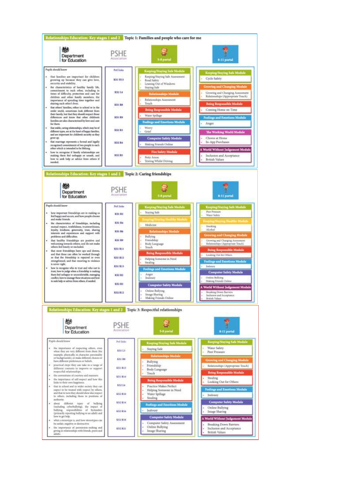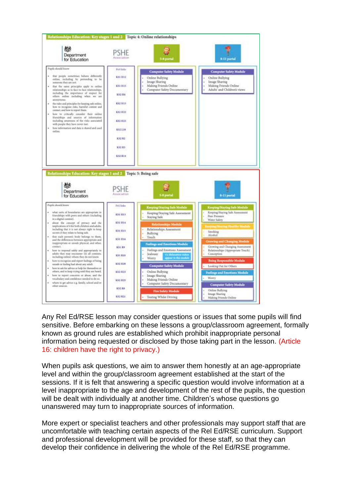

Any Rel Ed/RSE lesson may consider questions or issues that some pupils will find sensitive. Before embarking on these lessons a group/classroom agreement, formally known as ground rules are established which prohibit inappropriate personal information being requested or disclosed by those taking part in the lesson. (Article 16: children have the right to privacy.)

When pupils ask questions, we aim to answer them honestly at an age-appropriate level and within the group/classroom agreement established at the start of the sessions. If it is felt that answering a specific question would involve information at a level inappropriate to the age and development of the rest of the pupils, the question will be dealt with individually at another time. Children's whose questions go unanswered may turn to inappropriate sources of information.

More expert or specialist teachers and other professionals may support staff that are uncomfortable with teaching certain aspects of the Rel Ed/RSE curriculum. Support and professional development will be provided for these staff, so that they can develop their confidence in delivering the whole of the Rel Ed/RSE programme.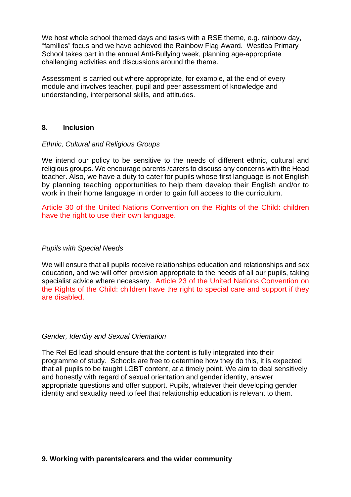We host whole school themed days and tasks with a RSE theme, e.g. rainbow day, "families" focus and we have achieved the Rainbow Flag Award. Westlea Primary School takes part in the annual Anti-Bullying week, planning age-appropriate challenging activities and discussions around the theme.

Assessment is carried out where appropriate, for example, at the end of every module and involves teacher, pupil and peer assessment of knowledge and understanding, interpersonal skills, and attitudes.

#### **8. Inclusion**

#### *Ethnic, Cultural and Religious Groups*

We intend our policy to be sensitive to the needs of different ethnic, cultural and religious groups. We encourage parents /carers to discuss any concerns with the Head teacher. Also, we have a duty to cater for pupils whose first language is not English by planning teaching opportunities to help them develop their English and/or to work in their home language in order to gain full access to the curriculum.

Article 30 of the United Nations Convention on the Rights of the Child: children have the right to use their own language.

#### *Pupils with Special Needs*

We will ensure that all pupils receive relationships education and relationships and sex education, and we will offer provision appropriate to the needs of all our pupils, taking specialist advice where necessary. Article 23 of the United Nations Convention on the Rights of the Child: children have the right to special care and support if they are disabled.

#### *Gender, Identity and Sexual Orientation*

The Rel Ed lead should ensure that the content is fully integrated into their programme of study. Schools are free to determine how they do this, it is expected that all pupils to be taught LGBT content, at a timely point. We aim to deal sensitively and honestly with regard of sexual orientation and gender identity, answer appropriate questions and offer support. Pupils, whatever their developing gender identity and sexuality need to feel that relationship education is relevant to them.

#### **9. Working with parents/carers and the wider community**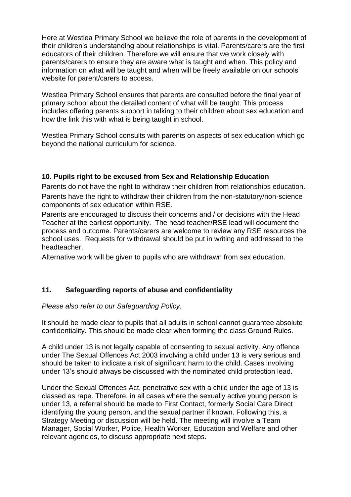Here at Westlea Primary School we believe the role of parents in the development of their children's understanding about relationships is vital. Parents/carers are the first educators of their children. Therefore we will ensure that we work closely with parents/carers to ensure they are aware what is taught and when. This policy and information on what will be taught and when will be freely available on our schools' website for parent/carers to access.

Westlea Primary School ensures that parents are consulted before the final year of primary school about the detailed content of what will be taught. This process includes offering parents support in talking to their children about sex education and how the link this with what is being taught in school.

Westlea Primary School consults with parents on aspects of sex education which go beyond the national curriculum for science.

# **10. Pupils right to be excused from Sex and Relationship Education**

Parents do not have the right to withdraw their children from relationships education. Parents have the right to withdraw their children from the non-statutory/non-science components of sex education within RSE.

Parents are encouraged to discuss their concerns and / or decisions with the Head Teacher at the earliest opportunity. The head teacher/RSE lead will document the process and outcome. Parents/carers are welcome to review any RSE resources the school uses. Requests for withdrawal should be put in writing and addressed to the headteacher.

Alternative work will be given to pupils who are withdrawn from sex education.

# **11. Safeguarding reports of abuse and confidentiality**

#### *Please also refer to our Safeguarding Policy.*

It should be made clear to pupils that all adults in school cannot guarantee absolute confidentiality. This should be made clear when forming the class Ground Rules.

A child under 13 is not legally capable of consenting to sexual activity. Any offence under The Sexual Offences Act 2003 involving a child under 13 is very serious and should be taken to indicate a risk of significant harm to the child. Cases involving under 13's should always be discussed with the nominated child protection lead.

Under the Sexual Offences Act, penetrative sex with a child under the age of 13 is classed as rape. Therefore, in all cases where the sexually active young person is under 13, a referral should be made to First Contact, formerly Social Care Direct identifying the young person, and the sexual partner if known. Following this, a Strategy Meeting or discussion will be held. The meeting will involve a Team Manager, Social Worker, Police, Health Worker, Education and Welfare and other relevant agencies, to discuss appropriate next steps.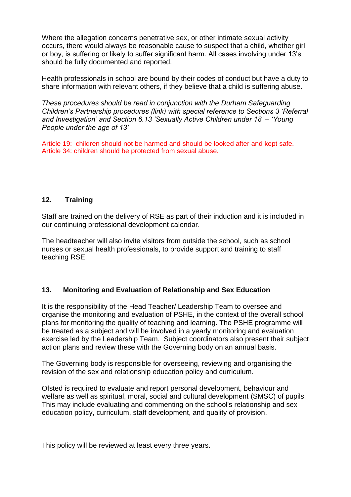Where the allegation concerns penetrative sex, or other intimate sexual activity occurs, there would always be reasonable cause to suspect that a child, whether girl or boy, is suffering or likely to suffer significant harm. All cases involving under 13's should be fully documented and reported.

Health professionals in school are bound by their codes of conduct but have a duty to share information with relevant others, if they believe that a child is suffering abuse.

*These procedures should be read in conjunction with the Durham Safeguarding Children's Partnership procedures (link) with special reference to Sections 3 'Referral and Investigation' and Section 6.13 'Sexually Active Children under 18' – 'Young People under the age of 13'*

Article 19: children should not be harmed and should be looked after and kept safe. Article 34: children should be protected from sexual abuse.

### **12. Training**

Staff are trained on the delivery of RSE as part of their induction and it is included in our continuing professional development calendar.

The headteacher will also invite visitors from outside the school, such as school nurses or sexual health professionals, to provide support and training to staff teaching RSE.

#### **13. Monitoring and Evaluation of Relationship and Sex Education**

It is the responsibility of the Head Teacher/ Leadership Team to oversee and organise the monitoring and evaluation of PSHE, in the context of the overall school plans for monitoring the quality of teaching and learning. The PSHE programme will be treated as a subject and will be involved in a yearly monitoring and evaluation exercise led by the Leadership Team. Subject coordinators also present their subject action plans and review these with the Governing body on an annual basis.

The Governing body is responsible for overseeing, reviewing and organising the revision of the sex and relationship education policy and curriculum.

Ofsted is required to evaluate and report personal development, behaviour and welfare as well as spiritual, moral, social and cultural development (SMSC) of pupils. This may include evaluating and commenting on the school's relationship and sex education policy, curriculum, staff development, and quality of provision.

This policy will be reviewed at least every three years.